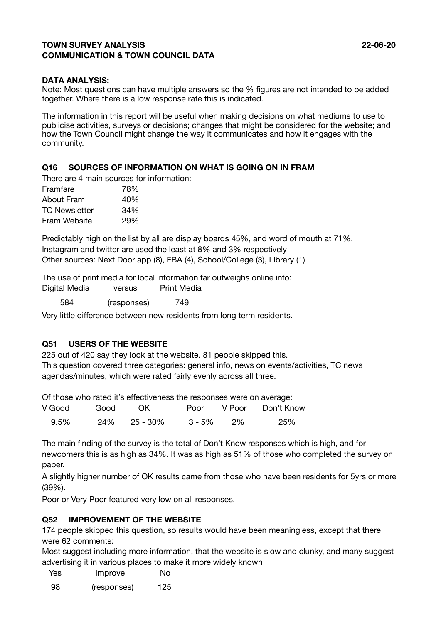## **TOWN SURVEY ANALYSIS 22-06-20 COMMUNICATION & TOWN COUNCIL DATA**

#### **DATA ANALYSIS:**

Note: Most questions can have multiple answers so the % figures are not intended to be added together. Where there is a low response rate this is indicated.

The information in this report will be useful when making decisions on what mediums to use to publicise activities, surveys or decisions; changes that might be considered for the website; and how the Town Council might change the way it communicates and how it engages with the community.

#### **Q16 SOURCES OF INFORMATION ON WHAT IS GOING ON IN FRAM**

| There are 4 main sources for information: |     |
|-------------------------------------------|-----|
| Framfare                                  | 78% |
| About Fram                                | 40% |
| <b>TC Newsletter</b>                      | 34% |
| Fram Website                              | 29% |

Predictably high on the list by all are display boards 45%, and word of mouth at 71%. Instagram and twitter are used the least at 8% and 3% respectively Other sources: Next Door app (8), FBA (4), School/College (3), Library (1)

The use of print media for local information far outweighs online info:

| Digital Media | versus      | <b>Print Media</b> |  |
|---------------|-------------|--------------------|--|
| 584           | (responses) | 749                |  |

Very little difference between new residents from long term residents.

## **Q51 USERS OF THE WEBSITE**

225 out of 420 say they look at the website. 81 people skipped this. This question covered three categories: general info, news on events/activities, TC news agendas/minutes, which were rated fairly evenly across all three.

Of those who rated it's effectiveness the responses were on average:

| V Good | Good | - OK         |              | Poor V Poor Don't Know |
|--------|------|--------------|--------------|------------------------|
| 9.5%   |      | 24% 25 - 30% | $3 - 5\%$ 2% | 25%                    |

The main finding of the survey is the total of Don't Know responses which is high, and for newcomers this is as high as 34%. It was as high as 51% of those who completed the survey on paper.

A slightly higher number of OK results came from those who have been residents for 5yrs or more (39%).

Poor or Very Poor featured very low on all responses.

#### **Q52 IMPROVEMENT OF THE WEBSITE**

174 people skipped this question, so results would have been meaningless, except that there were 62 comments:

Most suggest including more information, that the website is slow and clunky, and many suggest advertising it in various places to make it more widely known

| <b>Yes</b> | Improve | No |
|------------|---------|----|
|            |         |    |

98 (responses) 125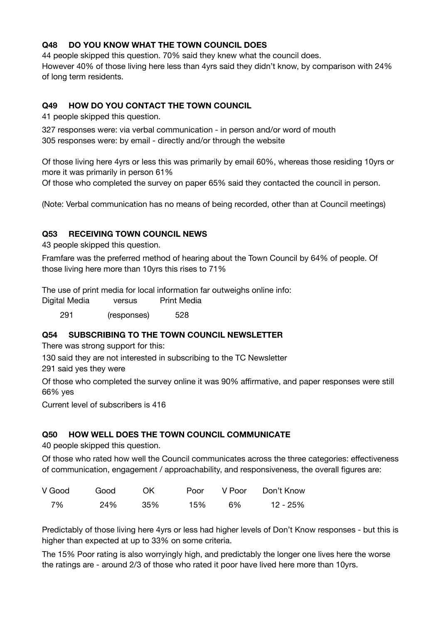# **Q48 DO YOU KNOW WHAT THE TOWN COUNCIL DOES**

44 people skipped this question. 70% said they knew what the council does. However 40% of those living here less than 4yrs said they didn't know, by comparison with 24% of long term residents.

# **Q49 HOW DO YOU CONTACT THE TOWN COUNCIL**

41 people skipped this question.

327 responses were: via verbal communication - in person and/or word of mouth 305 responses were: by email - directly and/or through the website

Of those living here 4yrs or less this was primarily by email 60%, whereas those residing 10yrs or more it was primarily in person 61%

Of those who completed the survey on paper 65% said they contacted the council in person.

(Note: Verbal communication has no means of being recorded, other than at Council meetings)

## **Q53 RECEIVING TOWN COUNCIL NEWS**

43 people skipped this question.

Framfare was the preferred method of hearing about the Town Council by 64% of people. Of those living here more than 10yrs this rises to 71%

The use of print media for local information far outweighs online info:

Digital Media versus Print Media

291 (responses) 528

## **Q54 SUBSCRIBING TO THE TOWN COUNCIL NEWSLETTER**

There was strong support for this:

130 said they are not interested in subscribing to the TC Newsletter

291 said yes they were

Of those who completed the survey online it was 90% affirmative, and paper responses were still 66% yes

Current level of subscribers is 416

## **Q50 HOW WELL DOES THE TOWN COUNCIL COMMUNICATE**

40 people skipped this question.

Of those who rated how well the Council communicates across the three categories: effectiveness of communication, engagement / approachability, and responsiveness, the overall figures are:

| V Good | Good | .OK | Poor |    | V Poor Don't Know |
|--------|------|-----|------|----|-------------------|
| 7%     | 24%  | 35% | 15%  | 6% | 12 - 25%          |

Predictably of those living here 4yrs or less had higher levels of Don't Know responses - but this is higher than expected at up to 33% on some criteria.

The 15% Poor rating is also worryingly high, and predictably the longer one lives here the worse the ratings are - around 2/3 of those who rated it poor have lived here more than 10yrs.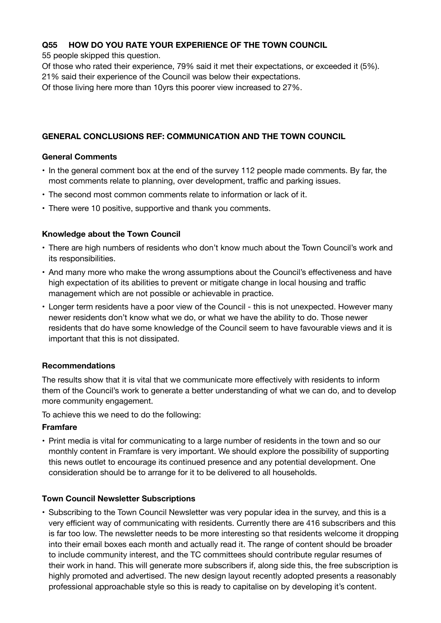## **Q55 HOW DO YOU RATE YOUR EXPERIENCE OF THE TOWN COUNCIL**

55 people skipped this question.

Of those who rated their experience, 79% said it met their expectations, or exceeded it (5%).

21% said their experience of the Council was below their expectations.

Of those living here more than 10yrs this poorer view increased to 27%.

#### **GENERAL CONCLUSIONS REF: COMMUNICATION AND THE TOWN COUNCIL**

#### **General Comments**

- In the general comment box at the end of the survey 112 people made comments. By far, the most comments relate to planning, over development, traffic and parking issues.
- The second most common comments relate to information or lack of it.
- There were 10 positive, supportive and thank you comments.

#### **Knowledge about the Town Council**

- There are high numbers of residents who don't know much about the Town Council's work and its responsibilities.
- And many more who make the wrong assumptions about the Council's effectiveness and have high expectation of its abilities to prevent or mitigate change in local housing and traffic management which are not possible or achievable in practice.
- Longer term residents have a poor view of the Council this is not unexpected. However many newer residents don't know what we do, or what we have the ability to do. Those newer residents that do have some knowledge of the Council seem to have favourable views and it is important that this is not dissipated.

## **Recommendations**

The results show that it is vital that we communicate more effectively with residents to inform them of the Council's work to generate a better understanding of what we can do, and to develop more community engagement.

To achieve this we need to do the following:

#### **Framfare**

• Print media is vital for communicating to a large number of residents in the town and so our monthly content in Framfare is very important. We should explore the possibility of supporting this news outlet to encourage its continued presence and any potential development. One consideration should be to arrange for it to be delivered to all households.

#### **Town Council Newsletter Subscriptions**

• Subscribing to the Town Council Newsletter was very popular idea in the survey, and this is a very efficient way of communicating with residents. Currently there are 416 subscribers and this is far too low. The newsletter needs to be more interesting so that residents welcome it dropping into their email boxes each month and actually read it. The range of content should be broader to include community interest, and the TC committees should contribute regular resumes of their work in hand. This will generate more subscribers if, along side this, the free subscription is highly promoted and advertised. The new design layout recently adopted presents a reasonably professional approachable style so this is ready to capitalise on by developing it's content.